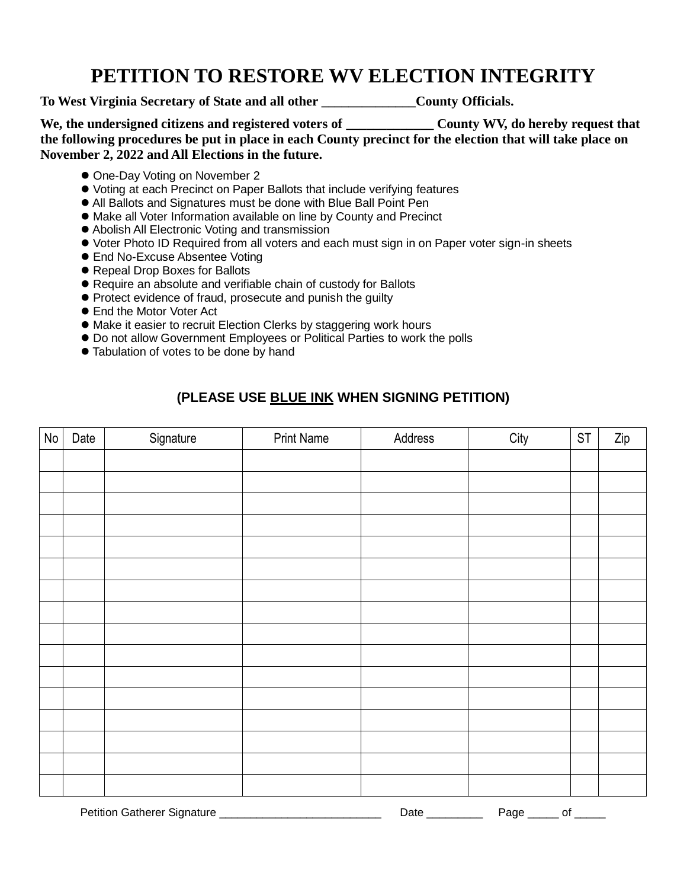## **PETITION TO RESTORE WV ELECTION INTEGRITY**

**To West Virginia Secretary of State and all other \_\_\_\_\_\_\_\_\_\_\_\_\_\_County Officials.**

We, the undersigned citizens and registered voters of **The County WV**, do hereby request that **the following procedures be put in place in each County precinct for the election that will take place on November 2, 2022 and All Elections in the future.**

- One-Day Voting on November 2
- Voting at each Precinct on Paper Ballots that include verifying features
- All Ballots and Signatures must be done with Blue Ball Point Pen
- Make all Voter Information available on line by County and Precinct
- Abolish All Electronic Voting and transmission
- Voter Photo ID Required from all voters and each must sign in on Paper voter sign-in sheets
- End No-Excuse Absentee Voting
- Repeal Drop Boxes for Ballots
- Require an absolute and verifiable chain of custody for Ballots
- Protect evidence of fraud, prosecute and punish the quilty
- End the Motor Voter Act
- Make it easier to recruit Election Clerks by staggering work hours
- Do not allow Government Employees or Political Parties to work the polls
- Tabulation of votes to be done by hand

## **(PLEASE USE BLUE INK WHEN SIGNING PETITION)**

| No | Date | Signature | <b>Print Name</b> | Address | City | <b>ST</b> | Zip |
|----|------|-----------|-------------------|---------|------|-----------|-----|
|    |      |           |                   |         |      |           |     |
|    |      |           |                   |         |      |           |     |
|    |      |           |                   |         |      |           |     |
|    |      |           |                   |         |      |           |     |
|    |      |           |                   |         |      |           |     |
|    |      |           |                   |         |      |           |     |
|    |      |           |                   |         |      |           |     |
|    |      |           |                   |         |      |           |     |
|    |      |           |                   |         |      |           |     |
|    |      |           |                   |         |      |           |     |
|    |      |           |                   |         |      |           |     |
|    |      |           |                   |         |      |           |     |
|    |      |           |                   |         |      |           |     |
|    |      |           |                   |         |      |           |     |
|    |      |           |                   |         |      |           |     |
|    |      |           |                   |         |      |           |     |